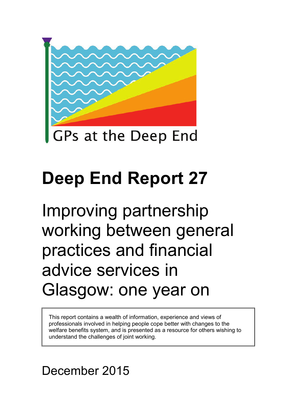

# **Deep End Report 27**

Improving partnership working between general practices and financial advice services in Glasgow: one year on

This report contains a wealth of information, experience and views of professionals involved in helping people cope better with changes to the welfare benefits system, and is presented as a resource for others wishing to understand the challenges of joint working.

# December 2015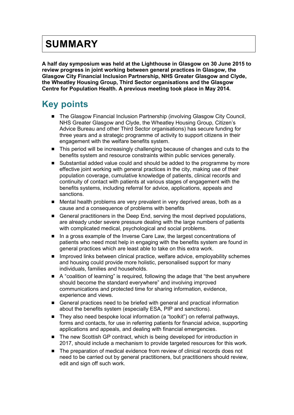### **SUMMARY**

**A half day symposium was held at the Lighthouse in Glasgow on 30 June 2015 to review progress in joint working between general practices in Glasgow, the Glasgow City Financial Inclusion Partnership, NHS Greater Glasgow and Clyde, the Wheatley Housing Group, Third Sector organisations and the Glasgow Centre for Population Health. A previous meeting took place in May 2014.**

### **Key points**

- The Glasgow Financial Inclusion Partnership (involving Glasgow City Council, NHS Greater Glasgow and Clyde, the Wheatley Housing Group, Citizen's Advice Bureau and other Third Sector organisations) has secure funding for three years and a strategic programme of activity to support citizens in their engagement with the welfare benefits system.
- This period will be increasingly challenging because of changes and cuts to the benefits system and resource constraints within public services generally.
- Substantial added value could and should be added to the programme by more effective joint working with general practices in the city, making use of their population coverage, cumulative knowledge of patients, clinical records and continuity of contact with patients at various stages of engagement with the benefits systems, including referral for advice, applications, appeals and sanctions.
- Mental health problems are very prevalent in very deprived areas, both as a cause and a consequence of problems with benefits
- General practitioners in the Deep End, serving the most deprived populations, are already under severe pressure dealing with the large numbers of patients with complicated medical, psychological and social problems.
- In a gross example of the Inverse Care Law, the largest concentrations of patients who need most help in engaging with the benefits system are found in general practices which are least able to take on this extra work.
- **IMPROVED INCOVER 19 Improved links between clinical practice, welfare advice, employability schemes** and housing could provide more holistic, personalised support for many individuals, families and households.
- A "coalition of learning" is required, following the adage that "the best anywhere should become the standard everywhere" and involving improved communications and protected time for sharing information, evidence, experience and views.
- General practices need to be briefed with general and practical information about the benefits system (especially ESA, PIP and sanctions).
- They also need bespoke local information (a "toolkit") on referral pathways, forms and contacts, for use in referring patients for financial advice, supporting applications and appeals, and dealing with financial emergencies.
- The new Scottish GP contract, which is being developed for introduction in 2017, should include a mechanism to provide targeted resources for this work.
- The preparation of medical evidence from review of clinical records does not need to be carried out by general practitioners, but practitioners should review, edit and sign off such work.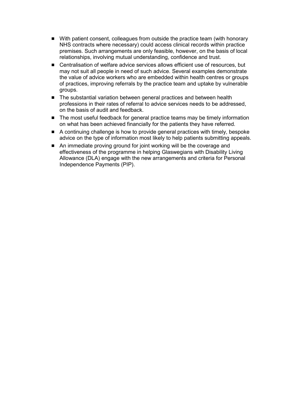- With patient consent, colleagues from outside the practice team (with honorary NHS contracts where necessary) could access clinical records within practice premises. Such arrangements are only feasible, however, on the basis of local relationships, involving mutual understanding, confidence and trust.
- Centralisation of welfare advice services allows efficient use of resources, but may not suit all people in need of such advice. Several examples demonstrate the value of advice workers who are embedded within health centres or groups of practices, improving referrals by the practice team and uptake by vulnerable groups.
- The substantial variation between general practices and between health professions in their rates of referral to advice services needs to be addressed, on the basis of audit and feedback.
- The most useful feedback for general practice teams may be timely information on what has been achieved financially for the patients they have referred.
- A continuing challenge is how to provide general practices with timely, bespoke advice on the type of information most likely to help patients submitting appeals.
- An immediate proving ground for joint working will be the coverage and effectiveness of the programme in helping Glaswegians with Disability Living Allowance (DLA) engage with the new arrangements and criteria for Personal Independence Payments (PIP).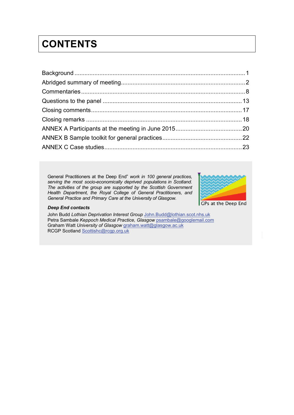# **CONTENTS**

General Practitioners at the Deep End" *work in 100 general practices, serving the most socio-economically deprived populations in Scotland. The activities of the group are supported by the Scottish Government Health Department, the Royal College of General Practitioners, and General Practice and Primary Care at the University of Glasgow.* 



#### *Deep End contacts*

John Budd Lothian Deprivation Interest Group [John.Budd@lothian.scot.nhs.uk](mailto:John.Budd@lothian.scot.nhs.uk) Petra Sambale *Keppoch Medical Practice, Glasgow* [psambale@googlemail.com](mailto:psambale@googlemail.com) Graham Watt *University of Glasgow* [graham.watt@glasgow.ac.uk](mailto:gcmw1j@clinmed.gla.ac.uk) RCGP Scotland [Scottishc@rcgp.org.uk](mailto:Scottishc@rcgp.org.uk)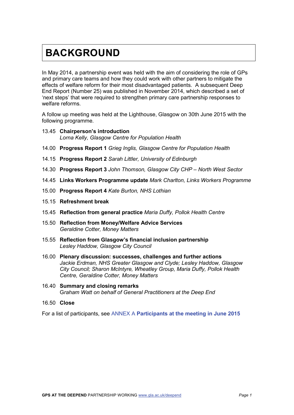### <span id="page-4-0"></span>**BACKGROUND**

In May 2014, a partnership event was held with the aim of considering the role of GPs and primary care teams and how they could work with other partners to mitigate the effects of welfare reform for their most disadvantaged patients. A subsequent Deep End Report (Number 25) was published in November 2014, which described a set of 'next steps' that were required to strengthen primary care partnership responses to welfare reforms.

A follow up meeting was held at the Lighthouse, Glasgow on 30th June 2015 with the following programme.

- 13.45 **Chairperson's introduction** *Lorna Kelly, Glasgow Centre for Population Health*
- 14.00 **Progress Report 1** *Grieg Inglis, Glasgow Centre for Population Health*
- 14.15 **Progress Report 2** *Sarah Littler, University of Edinburgh*
- 14.30 **Progress Report 3** *John Thomson, Glasgow City CHP – North West Sector*
- 14.45 **Links Workers Programme update** *Mark Charlton, Links Workers Programme*
- 15.00 **Progress Report 4** *Kate Burton, NHS Lothian*
- 15.15 **Refreshment break**
- 15.45 **Reflection from general practice** *Maria Duffy, Pollok Health Centre*
- 15.50 **Reflection from Money/Welfare Advice Services**  *Geraldine Cotter, Money Matters*
- 15.55 **Reflection from Glasgow's financial inclusion partnership** *Lesley Haddow, Glasgow City Council*
- 16.00 **Plenary discussion: successes, challenges and further actions** *Jackie Erdman, NHS Greater Glasgow and Clyde; Lesley Haddow, Glasgow City Council; Sharon McIntyre, Wheatley Group, Maria Duffy, Pollok Health Centre, Geraldine Cotter, Money Matters*
- 16.40 **Summary and closing remarks** G*raham Watt on behalf of General Practitioners at the Deep End*
- 16.50 **Close**

For a list of participants, see ANNEX A **[Participants at the meeting in June 2015](#page-22-0)**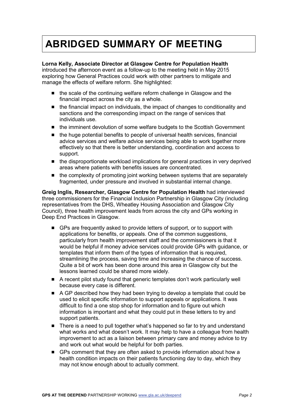## <span id="page-5-0"></span>**ABRIDGED SUMMARY OF MEETING**

#### **Lorna Kelly, Associate Director at Glasgow Centre for Population Health**

introduced the afternoon event as a follow-up to the meeting held in May 2015 exploring how General Practices could work with other partners to mitigate and manage the effects of welfare reform. She highlighted:

- the scale of the continuing welfare reform challenge in Glasgow and the financial impact across the city as a whole.
- the financial impact on individuals, the impact of changes to conditionality and sanctions and the corresponding impact on the range of services that individuals use.
- the imminent devolution of some welfare budgets to the Scottish Government
- the huge potential benefits to people of universal health services, financial advice services and welfare advice services being able to work together more effectively so that there is better understanding, coordination and access to support.
- $\blacksquare$  the disproportionate workload implications for general practices in very deprived areas where patients with benefits issues are concentrated.
- the complexity of promoting joint working between systems that are separately fragmented, under pressure and involved in substantial internal change.

**Greig Inglis, Researcher, Glasgow Centre for Population Health** had interviewed three commissioners for the Financial Inclusion Partnership in Glasgow City (including representatives from the DHS, Wheatley Housing Association and Glasgow City Council), three health improvement leads from across the city and GPs working in Deep End Practices in Glasgow.

- GPs are frequently asked to provide letters of support, or to support with applications for benefits, or appeals. One of the common suggestions, particularly from health improvement staff and the commissioners is that it would be helpful if money advice services could provide GPs with guidance, or templates that inform them of the types of information that is required, streamlining the process, saving time and increasing the chance of success. Quite a bit of work has been done around this area in Glasgow city but the lessons learned could be shared more widely.
- A recent pilot study found that generic templates don't work particularly well because every case is different.
- A GP described how they had been trying to develop a template that could be used to elicit specific information to support appeals or applications. It was difficult to find a one stop shop for information and to figure out which information is important and what they could put in these letters to try and support patients.
- There is a need to pull together what's happened so far to try and understand what works and what doesn't work. It may help to have a colleague from health improvement to act as a liaison between primary care and money advice to try and work out what would be helpful for both parties.
- GPs comment that they are often asked to provide information about how a health condition impacts on their patients functioning day to day, which they may not know enough about to actually comment.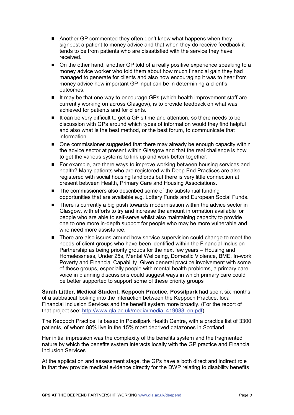- Another GP commented they often don't know what happens when they signpost a patient to money advice and that when they do receive feedback it tends to be from patients who are dissatisfied with the service they have received.
- On the other hand, another GP told of a really positive experience speaking to a money advice worker who told them about how much financial gain they had managed to generate for clients and also how encouraging it was to hear from money advice how important GP input can be in determining a client's outcomes.
- It may be that one way to encourage GPs (which health improvement staff are currently working on across Glasgow), is to provide feedback on what was achieved for patients and for clients.
- It can be very difficult to get a GP's time and attention, so there needs to be discussion with GPs around which types of information would they find helpful and also what is the best method, or the best forum, to communicate that information.
- One commissioner suggested that there may already be enough capacity within the advice sector at present within Glasgow and that the real challenge is how to get the various systems to link up and work better together.
- For example, are there ways to improve working between housing services and health? Many patients who are registered with Deep End Practices are also registered with social housing landlords but there is very little connection at present between Health, Primary Care and Housing Associations.
- The commissioners also described some of the substantial funding opportunities that are available e.g. Lottery Funds and European Social Funds.
- There is currently a big push towards modernisation within the advice sector in Glasgow, with efforts to try and increase the amount information available for people who are able to self-serve whilst also maintaining capacity to provide one to one more in-depth support for people who may be more vulnerable and who need more assistance.
- There are also issues around how service supervision could change to meet the needs of client groups who have been identified within the Financial Inclusion Partnership as being priority groups for the next few years – Housing and Homelessness, Under 25s, Mental Wellbeing, Domestic Violence, BME, In-work Poverty and Financial Capability. Given general practice involvement with some of these groups, especially people with mental health problems, a primary care voice in planning discussions could suggest ways in which primary care could be better supported to support some of these priority groups

**Sarah Littler, Medical Student, Keppoch Practice, Possilpark** had spent six months of a sabbatical looking into the interaction between the Keppoch Practice, local Financial Inclusion Services and the benefit system more broadly. (For the report of that project see: [http://www.gla.ac.uk/media/media\\_419088\\_en.pdf\)](http://www.gla.ac.uk/media/media_419088_en.pdf)

The Keppoch Practice, is based in Possilpark Health Centre, with a practice list of 3300 patients, of whom 88% live in the 15% most deprived datazones in Scotland.

Her initial impression was the complexity of the benefits system and the fragmented nature by which the benefits system interacts locally with the GP practice and Financial Inclusion Services.

At the application and assessment stage, the GPs have a both direct and indirect role in that they provide medical evidence directly for the DWP relating to disability benefits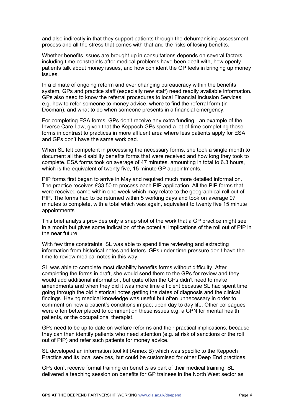and also indirectly in that they support patients through the dehumanising assessment process and all the stress that comes with that and the risks of losing benefits.

Whether benefits issues are brought up in consultations depends on several factors including time constraints after medical problems have been dealt with, how openly patients talk about money issues, and how confident the GP feels in bringing up money issues.

In a climate of ongoing reform and ever changing bureaucracy within the benefits system, GPs and practice staff (especially new staff) need readily available information. GPs also need to know the referral procedures to local Financial Inclusion Services, e.g. how to refer someone to money advice, where to find the referral form (in Docman), and what to do when someone presents in a financial emergency.

For completing ESA forms, GPs don't receive any extra funding - an example of the Inverse Care Law, given that the Keppoch GPs spend a lot of time completing those forms in contrast to practices in more affluent area where less patients apply for ESA and GPs don't have the same workload.

When SL felt competent in processing the necessary forms, she took a single month to document all the disability benefits forms that were received and how long they took to complete. ESA forms took on average of 47 minutes, amounting in total to 6.3 hours, which is the equivalent of twenty five, 15 minute GP appointments.

PIP forms first began to arrive in May and required much more detailed information. The practice receives £33.50 to process each PIP application. All the PIP forms that were received came within one week which may relate to the geographical roll out of PIP. The forms had to be returned within 5 working days and took on average 97 minutes to complete, with a total which was again, equivalent to twenty five 15 minute appointments

This brief analysis provides only a snap shot of the work that a GP practice might see in a month but gives some indication of the potential implications of the roll out of PIP in the near future.

With few time constraints, SL was able to spend time reviewing and extracting information from historical notes and letters. GPs under time pressure don't have the time to review medical notes in this way.

SL was able to complete most disability benefits forms without difficulty. After completing the forms in draft, she would send them to the GPs for review and they would add additional information, but quite often the GPs didn't need to make amendments and when they did it was more time efficient because SL had spent time going through the old historical notes getting the dates of diagnosis and the clinical findings. Having medical knowledge was useful but often unnecessary in order to comment on how a patient's conditions impact upon day to day life. Other colleagues were often better placed to comment on these issues e.g. a CPN for mental health patients, or the occupational therapist.

GPs need to be up to date on welfare reforms and their practical implications, because they can then identify patients who need attention (e.g. at risk of sanctions or the roll out of PIP) and refer such patients for money advice.

SL developed an information tool kit (Annex B) which was specific to the Keppoch Practice and its local services, but could be customised for other Deep End practices.

GPs don't receive formal training on benefits as part of their medical training. SL delivered a teaching session on benefits for GP trainees in the North West sector as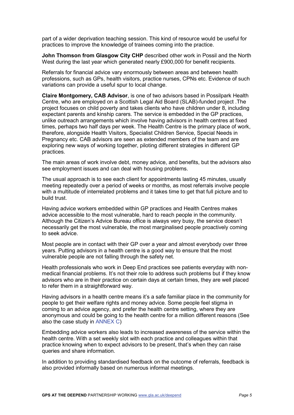part of a wider deprivation teaching session. This kind of resource would be useful for practices to improve the knowledge of trainees coming into the practice.

**John Thomson from Glasgow City CHP** described other work in Possil and the North West during the last year which generated nearly £900,000 for benefit recipients.

Referrals for financial advice vary enormously between areas and between health professions, such as GPs, health visitors, practice nurses, CPNs etc. Evidence of such variations can provide a useful spur to local change.

**Claire Montgomery, CAB Advisor**, is one of two advisors based in Possilpark Health Centre, who are employed on a Scottish Legal Aid Board (SLAB)-funded project .The project focuses on child poverty and takes clients who have children under 8, including expectant parents and kinship carers. The service is embedded in the GP practices, unlike outreach arrangements which involve having advisors in health centres at fixed times, perhaps two half days per week. The Health Centre is the primary place of work, therefore, alongside Health Visitors, Specialist Children Service, Special Needs in Pregnancy etc. CAB advisors are seen as extended members of the team and are exploring new ways of working together, piloting different strategies in different GP practices.

The main areas of work involve debt, money advice, and benefits, but the advisors also see employment issues and can deal with housing problems.

The usual approach is to see each client for appointments lasting 45 minutes, usually meeting repeatedly over a period of weeks or months, as most referrals involve people with a multitude of interrelated problems and it takes time to get that full picture and to build trust.

Having advice workers embedded within GP practices and Health Centres makes advice accessible to the most vulnerable, hard to reach people in the community. Although the Citizen's Advice Bureau office is always very busy, the service doesn't necessarily get the most vulnerable, the most marginalised people proactively coming to seek advice.

Most people are in contact with their GP over a year and almost everybody over three years. Putting advisors in a health centre is a good way to ensure that the most vulnerable people are not falling through the safety net.

Health professionals who work in Deep End practices see patients everyday with nonmedical financial problems. It's not their role to address such problems but if they know advisors who are in their practice on certain days at certain times, they are well placed to refer them in a straightforward way.

Having advisors in a health centre means it's a safe familiar place in the community for people to get their welfare rights and money advice. Some people feel stigma in coming to an advice agency, and prefer the health centre setting, where they are anonymous and could be going to the health centre for a million different reasons (See also the case study in [ANNEX C\)](#page-26-0)

Embedding advice workers also leads to increased awareness of the service within the health centre. With a set weekly slot with each practice and colleagues within that practice knowing when to expect advisors to be present, that's when they can raise queries and share information.

In addition to providing standardised feedback on the outcome of referrals, feedback is also provided informally based on numerous informal meetings.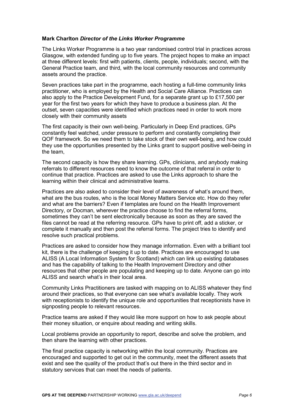#### **Mark Charlton** *Director of the Links Worker Programme*

The Links Worker Programme is a two year randomised control trial in practices across Glasgow, with extended funding up to five years. The project hopes to make an impact at three different levels: first with patients, clients, people, individuals; second, with the General Practice team, and third, with the local community resources and community assets around the practice.

Seven practices take part in the programme, each hosting a full-time community links practitioner, who is employed by the Health and Social Care Alliance. Practices can also apply to the Practice Development Fund, for a separate grant up to £17,500 per year for the first two years for which they have to produce a business plan. At the outset, seven capacities were identified which practices need in order to work more closely with their community assets

The first capacity is their own well-being. Particularly in Deep End practices, GPs constantly feel watched, under pressure to perform and constantly completing their QOF framework. So we need them to take stock of their own well-being, and how could they use the opportunities presented by the Links grant to support positive well-being in the team,

The second capacity is how they share learning. GPs, clinicians, and anybody making referrals to different resources need to know the outcome of that referral in order to continue that practice. Practices are asked to use the Links approach to share the learning within their clinical and administrative teams.

Practices are also asked to consider their level of awareness of what's around them, what are the bus routes, who is the local Money Matters Service etc. How do they refer and what are the barriers? Even if templates are found on the Health Improvement Directory, or Docman, wherever the practice choose to find the referral forms, sometimes they can't be sent electronically because as soon as they are saved the files cannot be read at the referring resource. GPs have to print off, add a sticker, or complete it manually and then post the referral forms. The project tries to identify and resolve such practical problems.

Practices are asked to consider how they manage information. Even with a brilliant tool kit, there is the challenge of keeping it up to date. Practices are encouraged to use ALISS (A Local Information System for Scotland) which can link up existing databases and has the capability of talking to the Health Improvement Directory and other resources that other people are populating and keeping up to date. Anyone can go into ALISS and search what's in their local area.

Community Links Practitioners are tasked with mapping on to ALISS whatever they find around their practices, so that everyone can see what's available locally. They work with receptionists to identify the unique role and opportunities that receptionists have in signposting people to relevant resources.

Practice teams are asked if they would like more support on how to ask people about their money situation, or enquire about reading and writing skills.

Local problems provide an opportunity to report, describe and solve the problem, and then share the learning with other practices.

The final practice capacity is networking within the local community. Practices are encouraged and supported to get out in the community, meet the different assets that exist and see the quality of the product that's out there in the third sector and in statutory services that can meet the needs of patients.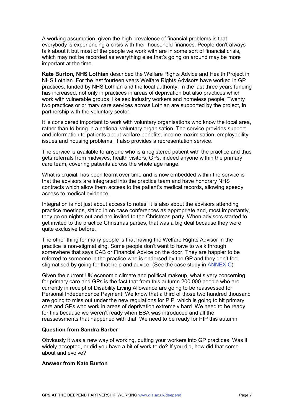A working assumption, given the high prevalence of financial problems is that everybody is experiencing a crisis with their household finances. People don't always talk about it but most of the people we work with are in some sort of financial crisis, which may not be recorded as everything else that's going on around may be more important at the time.

**Kate Burton, NHS Lothian** described the Welfare Rights Advice and Health Project in NHS Lothian. For the last fourteen years Welfare Rights Advisors have worked in GP practices, funded by NHS Lothian and the local authority. In the last three years funding has increased, not only in practices in areas of deprivation but also practices which work with vulnerable groups, like sex industry workers and homeless people. Twenty two practices or primary care services across Lothian are supported by the project, in partnership with the voluntary sector.

It is considered important to work with voluntary organisations who know the local area, rather than to bring in a national voluntary organisation. The service provides support and information to patients about welfare benefits, income maximisation, employability issues and housing problems. It also provides a representation service.

The service is available to anyone who is a registered patient with the practice and thus gets referrals from midwives, health visitors, GPs, indeed anyone within the primary care team, covering patients across the whole age range.

What is crucial, has been learnt over time and is now embedded within the service is that the advisors are integrated into the practice team and have honorary NHS contracts which allow them access to the patient's medical records, allowing speedy access to medical evidence.

Integration is not just about access to notes; it is also about the advisors attending practice meetings, sitting in on case conferences as appropriate and, most importantly, they go on nights out and are invited to the Christmas party. When advisors started to get invited to the practice Christmas parties, that was a big deal because they were quite exclusive before.

The other thing for many people is that having the Welfare Rights Advisor in the practice is non-stigmatising. Some people don't want to have to walk through somewhere that says CAB or Financial Advice on the door. They are happier to be referred to someone in the practice who is endorsed by the GP and they don't feel stigmatised by going for that help and advice. (See the case study in [ANNEX C\)](#page-26-0)

Given the current UK economic climate and political makeup, what's very concerning for primary care and GPs is the fact that from this autumn 200,000 people who are currently in receipt of Disability Living Allowance are going to be reassessed for Personal Independence Payment. We know that a third of those two hundred thousand are going to miss out under the new regulations for PIP, which is going to hit primary care and GPs who work in areas of deprivation extremely hard. We need to be ready for this because we weren't ready when ESA was introduced and all the reassessments that happened with that. We need to be ready for PIP this autumn

#### **Question from Sandra Barber**

Obviously it was a new way of working, putting your workers into GP practices. Was it widely accepted, or did you have a bit of work to do? If you did, how did that come about and evolve?

#### **Answer from Kate Burton**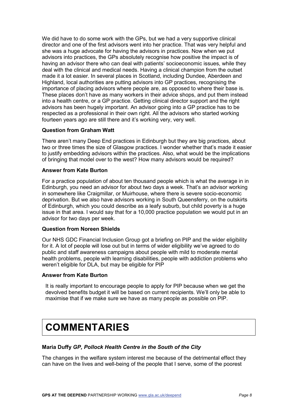We did have to do some work with the GPs, but we had a very supportive clinical director and one of the first advisors went into her practice. That was very helpful and she was a huge advocate for having the advisors in practices. Now when we put advisors into practices, the GPs absolutely recognise how positive the impact is of having an advisor there who can deal with patients' socioeconomic issues, while they deal with the clinical and medical needs. Having a clinical champion from the outset made it a lot easier. In several places in Scotland, including Dundee, Aberdeen and Highland, local authorities are putting advisors into GP practices, recognising the importance of placing advisors where people are, as opposed to where their base is. These places don't have as many workers in their advice shops, and put them instead into a health centre, or a GP practice. Getting clinical director support and the right advisors has been hugely important. An advisor going into a GP practice has to be respected as a professional in their own right. All the advisors who started working fourteen years ago are still there and it's working very, very well.

#### **Question from Graham Watt**

There aren't many Deep End practices in Edinburgh but they are big practices, about two or three times the size of Glasgow practices. I wonder whether that's made it easier to justify embedding advisors within the practices. Also, what would be the implications of bringing that model over to the west? How many advisors would be required?

#### **Answer from Kate Burton**

For a practice population of about ten thousand people which is what the average in in Edinburgh, you need an advisor for about two days a week. That's an advisor working in somewhere like Craigmillar, or Muirhouse, where there is severe socio-economic deprivation. But we also have advisors working in South Queensferry, on the outskirts of Edinburgh, which you could describe as a leafy suburb, but child poverty is a huge issue in that area. I would say that for a 10,000 practice population we would put in an advisor for two days per week.

#### **Question from Noreen Shields**

Our NHS GDC Financial Inclusion Group got a briefing on PIP and the wider eligibility for it. A lot of people will lose out but in terms of wider eligibility we've agreed to do public and staff awareness campaigns about people with mild to moderate mental health problems, people with learning disabilities, people with addiction problems who weren't eligible for DLA, but may be eligible for PIP

#### **Answer from Kate Burton**

<span id="page-11-0"></span>It is really important to encourage people to apply for PIP because when we get the devolved benefits budget it will be based on current recipients. We'll only be able to maximise that if we make sure we have as many people as possible on PIP.

## **COMMENTARIES**

#### **Maria Duffy** *GP, Pollock Health Centre in the South of the City*

The changes in the welfare system interest me because of the detrimental effect they can have on the lives and well-being of the people that I serve, some of the poorest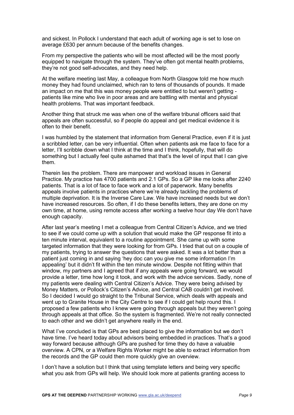and sickest. In Pollock I understand that each adult of working age is set to lose on average £630 per annum because of the benefits changes.

From my perspective the patients who will be most affected will be the most poorly equipped to navigate through the system. They've often got mental health problems, they're not good self-advocates, and they need help.

At the welfare meeting last May, a colleague from North Glasgow told me how much money they had found unclaimed, which ran to tens of thousands of pounds. It made an impact on me that this was money people were entitled to but weren't getting patients like mine who live in poor areas and are battling with mental and physical health problems. That was important feedback.

Another thing that struck me was when one of the welfare tribunal officers said that appeals are often successful, so if people do appeal and get medical evidence it is often to their benefit.

I was humbled by the statement that information from General Practice, even if it is just a scribbled letter, can be very influential. Often when patients ask me face to face for a letter, I'll scribble down what I think at the time and I think, hopefully, that will do something but I actually feel quite ashamed that that's the level of input that I can give them.

Therein lies the problem. There are manpower and workload issues in General Practice. My practice has 4700 patients and 2.1 GPs. So a GP like me looks after 2240 patients. That is a lot of face to face work and a lot of paperwork. Many benefits appeals involve patients in practices where we're already tackling the problems of multiple deprivation. It is the Inverse Care Law. We have increased needs but we don't have increased resources. So often, if I do these benefits letters, they are done on my own time, at home, using remote access after working a twelve hour day We don't have enough capacity.

After last year's meeting I met a colleague from Central Citizen's Advice, and we tried to see if we could come up with a solution that would make the GP response fit into a ten minute interval, equivalent to a routine appointment. She came up with some targeted information that they were looking for from GPs. I tried that out on a couple of my patients, trying to answer the questions that were asked. It was a lot better than a patient just coming in and saying 'hey doc can you give me some information I'm appealing' but it didn't fit within the ten minute window. Despite not fitting within that window, my partners and I agreed that if any appeals were going forward, we would provide a letter, time how long it took, and work with the advice services. Sadly, none of my patients were dealing with Central Citizen's Advice. They were being advised by Money Matters, or Pollock's Citizen's Advice, and Central CAB couldn't get involved. So I decided I would go straight to the Tribunal Service, which deals with appeals and went up to Granite House in the City Centre to see if I could get help round this. I proposed a few patients who I knew were going through appeals but they weren't going through appeals at that office. So the system is fragmented. We're not really connected to each other and we didn't get anywhere really in the end.

What I've concluded is that GPs are best placed to give the information but we don't have time. I've heard today about advisors being embedded in practices. That's a good way forward because although GPs are pushed for time they do have a valuable overview. A CPN, or a Welfare Rights Worker might be able to extract information from the records and the GP could then more quickly give an overview.

I don't have a solution but I think that using template letters and being very specific what you ask from GPs will help. We should look more at patients granting access to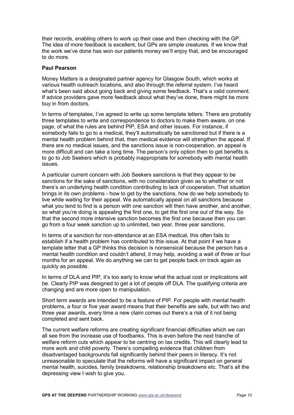their records, enabling others to work up their case and then checking with the GP. The idea of more feedback is excellent, but GPs are simple creatures. If we know that the work we've done has won our patients money we'll enjoy that, and be encouraged to do more.

#### **Paul Pearson**

Money Matters is a designated partner agency for Glasgow South, which works at various health outreach locations, and also through the referral system. I've heard what's been said about going back and giving some feedback. That's a valid comment. If advice providers gave more feedback about what they've done, there might be more buy in from doctors.

In terms of templates, I've agreed to write up some template letters. There are probably three templates to write and correspondence to doctors to make them aware, on one page, of what the rules are behind PIP, ESA and other issues. For instance, if somebody fails to go to a medical, they'll automatically be sanctioned but if there is a mental health problem behind that, then medical evidence will strengthen the appeal. If there are no medical issues, and the sanctions issue is non-cooperation, an appeal is more difficult and can take a long time. The person's only option then to get benefits is to go to Job Seekers which is probably inappropriate for somebody with mental health issues.

A particular current concern with Job Seekers sanctions is that they appear to be sanctions for the sake of sanctions, with no consideration given as to whether or not there's an underlying health condition contributing to lack of cooperation. That situation brings in its own problems - how to get by the sanctions, how do we help somebody to live while waiting for their appeal. We automatically appeal on all sanctions because what you tend to find is a person with one sanction will then have another, and another, so what you're doing is appealing the first one, to get the first one out of the way. So that the second more intensive sanction becomes the first one because then you can go from a four week sanction up to unlimited, two year, three year sanctions.

In terms of a sanction for non-attendance at an ESA medical, this often fails to establish if a health problem has contributed to this issue. At that point if we have a template letter that a GP thinks this decision is nonsensical because the person has a mental health condition and couldn't attend, it may help, avoiding a wait of three or four months for an appeal. We do anything we can to get people back on track again as quickly as possible.

In terms of DLA and PIP, it's too early to know what the actual cost or implications will be. Clearly PIP was designed to get a lot of people off DLA. The qualifying criteria are changing and are more open to manipulation.

Short term awards are intended to be a feature of PIP. For people with mental health problems, a four or five year award means that their benefits are safe, but with two and three year awards, every time a new claim comes out there's a risk of it not being completed and sent back.

The current welfare reforms are creating significant financial difficulties which we can all see from the increase use of foodbanks. This is even before the next tranche of welfare reform cuts which appear to be centring on tax credits. This will clearly lead to more work and child poverty. There's compelling evidence that children from disadvantaged backgrounds fall significantly behind their peers in literacy. It's not unreasonable to speculate that the reforms will have a significant impact on general mental health, suicides, family breakdowns, relationship breakdowns etc. That's all the depressing view I wish to give you.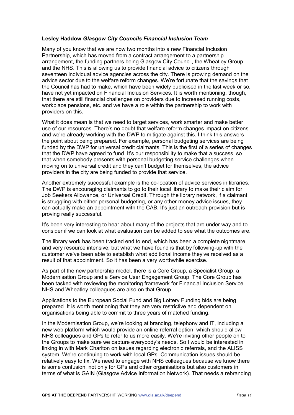#### **Lesley Haddow** *Glasgow City Councils Financial Inclusion Team*

Many of you know that we are now two months into a new Financial Inclusion Partnership, which has moved from a contract arrangement to a partnership arrangement, the funding partners being Glasgow City Council, the Wheatley Group and the NHS. This is allowing us to provide financial advice to citizens through seventeen individual advice agencies across the city. There is growing demand on the advice sector due to the welfare reform changes. We're fortunate that the savings that the Council has had to make, which have been widely publicised in the last week or so, have not yet impacted on Financial Inclusion Services. It is worth mentioning, though, that there are still financial challenges on providers due to increased running costs, workplace pensions, etc. and we have a role within the partnership to work with providers on this.

What it does mean is that we need to target services, work smarter and make better use of our resources. There's no doubt that welfare reform changes impact on citizens and we're already working with the DWP to mitigate against this. I think this answers the point about being prepared. For example, personal budgeting services are being funded by the DWP for universal credit claimants. This is the first of a series of changes that the DWP have agreed to fund. It's our responsibility to make that a success, so that when somebody presents with personal budgeting service challenges when moving on to universal credit and they can't budget for themselves, the advice providers in the city are being funded to provide that service.

Another extremely successful example is the co-location of advice services in libraries. The DWP is encouraging claimants to go to their local library to make their claim for Job Seekers Allowance, or Universal Credit. Through the library network, if a claimant is struggling with either personal budgeting, or any other money advice issues, they can actually make an appointment with the CAB. It's just an outreach provision but is proving really successful.

It's been very interesting to hear about many of the projects that are under way and to consider if we can look at what evaluation can be added to see what the outcomes are.

The library work has been tracked end to end, which has been a complete nightmare and very resource intensive, but what we have found is that by following-up with the customer we've been able to establish what additional income they've received as a result of that appointment. So it has been a very worthwhile exercise.

As part of the new partnership model, there is a Core Group, a Specialist Group, a Modernisation Group and a Service User Engagement Group. The Core Group has been tasked with reviewing the monitoring framework for Financial Inclusion Service. NHS and Wheatley colleagues are also on that Group.

Applications to the European Social Fund and Big Lottery Funding bids are being prepared. It is worth mentioning that they are very restrictive and dependent on organisations being able to commit to three years of matched funding.

In the Modernisation Group, we're looking at branding, telephony and IT, including a new web platform which would provide an online referral option, which should allow NHS colleagues and GPs to refer to us more easily. We're inviting other people on to the Groups to make sure we capture everybody's needs. So I would be interested in linking in with Mark Charlton on issues regarding electronic referrals, and the ALISS system. We're continuing to work with local GPs. Communication issues should be relatively easy to fix. We need to engage with NHS colleagues because we know there is some confusion, not only for GPs and other organisations but also customers in terms of what is GAIN (Glasgow Advice Information Network). That needs a rebranding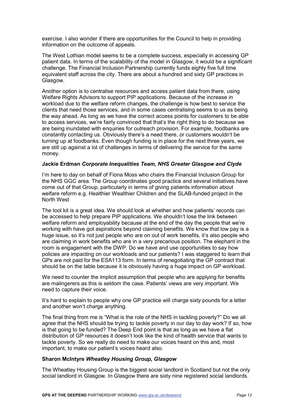exercise. I also wonder if there are opportunities for the Council to help in providing information on the outcome of appeals.

The West Lothian model seems to be a complete success, especially in accessing GP patient data. In terms of the scalability of the model in Glasgow, it would be a significant challenge. The Financial Inclusion Partnership currently funds eighty five full time equivalent staff across the city. There are about a hundred and sixty GP practices in Glasgow.

Another option is to centralise resources and access patient data from there, using Welfare Rights Advisors to support PIP applications. Because of the increase in workload due to the welfare reform changes, the challenge is how best to service the clients that need those services, and in some cases centralising seems to us as being the way ahead. As long as we have the correct access points for customers to be able to access services, we're fairly convinced that that's the right thing to do because we are being inundated with enquiries for outreach provision. For example, foodbanks are constantly contacting us. Obviously there's a need there, or customers wouldn't be turning up at foodbanks. Even though funding is in place for the next three years, we are still up against a lot of challenges in terms of delivering the service for the same money.

#### **Jackie Erdman** *Corporate Inequalities Team, NHS Greater Glasgow and Clyde*

I'm here to day on behalf of Fiona Moss who chairs the Financial Inclusion Group for the NHS GGC area. The Group coordinates good practice and several initiatives have come out of that Group, particularly in terms of giving patients information about welfare reform e.g. Healthier Wealthier Children and the SLAB-funded project in the North West

The tool kit is a great idea. We should look at whether and how patients' records can be accessed to help prepare PIP applications. We shouldn't lose the link between welfare reform and employability because at the end of the day the people that we're working with have got aspirations beyond claiming benefits. We know that low pay is a huge issue, so it's not just people who are on out of work benefits, it's also people who are claiming in work benefits who are in a very precarious position. The elephant in the room is engagement with the DWP. Do we have and use opportunities to say how policies are impacting on our workloads and our patients? I was staggered to learn that GPs are not paid for the ESA113 form. In terms of renegotiating the GP contract that should be on the table because it is obviously having a huge impact on GP workload.

We need to counter the implicit assumption that people who are applying for benefits are malingerers as this is seldom the case. Patients' views are very important. We need to capture their voice.

It's hard to explain to people why one GP practice will charge sixty pounds for a letter and another won't charge anything.

The final thing from me is "What is the role of the NHS in tackling poverty?" Do we all agree that the NHS should be trying to tackle poverty in our day to day work? If so, how is that going to be funded? The Deep End point is that as long as we have a flat distribution of GP resources it doesn't look like the kind of health service that wants to tackle poverty. So we really do need to make our voices heard on this and, most important, to make our patient's voices heard also.

#### **Sharon McIntyre** *Wheatley Housing Group, Glasgow*

The Wheatley Housing Group is the biggest social landlord in Scotland but not the only social landlord in Glasgow. In Glasgow there are sixty nine registered social landlords.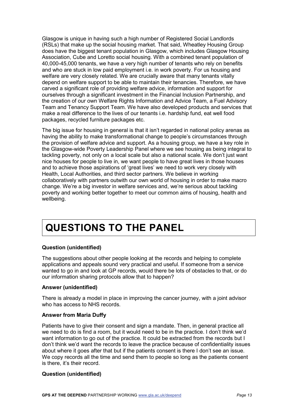Glasgow is unique in having such a high number of Registered Social Landlords (RSLs) that make up the social housing market. That said, Wheatley Housing Group does have the biggest tenant population in Glasgow, which includes Glasgow Housing Association, Cube and Loretto social housing. With a combined tenant population of 40,000-45,000 tenants, we have a very high number of tenants who rely on benefits and who are stuck in low paid employment i.e. in work poverty. For us housing and welfare are very closely related. We are crucially aware that many tenants vitally depend on welfare support to be able to maintain their tenancies. Therefore, we have carved a significant role of providing welfare advice, information and support for ourselves through a significant investment in the Financial Inclusion Partnership, and the creation of our own Welfare Rights Information and Advice Team, a Fuel Advisory Team and Tenancy Support Team. We have also developed products and services that make a real difference to the lives of our tenants i.e. hardship fund, eat well food packages, recycled furniture packages etc.

The big issue for housing in general is that it isn't regarded in national policy arenas as having the ability to make transformational change to people's circumstances through the provision of welfare advice and support. As a housing group, we have a key role in the Glasgow-wide Poverty Leadership Panel where we see housing as being integral to tackling poverty, not only on a local scale but also a national scale. We don't just want nice houses for people to live in, we want people to have great lives in those houses and to achieve those aspirations of 'great lives' we need to work very closely with Health, Local Authorities, and third sector partners. We believe in working collaboratively with partners outwith our own world of housing in order to make macro change. We're a big investor in welfare services and, we're serious about tackling poverty and working better together to meet our common aims of housing, health and wellbeing.

# <span id="page-16-0"></span>**QUESTIONS TO THE PANEL**

#### **Question (unidentified)**

The suggestions about other people looking at the records and helping to complete applications and appeals sound very practical and useful. If someone from a service wanted to go in and look at GP records, would there be lots of obstacles to that, or do our information sharing protocols allow that to happen?

#### **Answer (unidentified)**

There is already a model in place in improving the cancer journey, with a joint advisor who has access to NHS records.

#### **Answer from Maria Duffy**

Patients have to give their consent and sign a mandate. Then, in general practice all we need to do is find a room, but it would need to be in the practice. I don't think we'd want information to go out of the practice. It could be extracted from the records but I don't think we'd want the records to leave the practice because of confidentiality issues about where it goes after that but if the patients consent is there I don't see an issue. We copy records all the time and send them to people so long as the patients consent is there, it's their record.

#### **Question (unidentified)**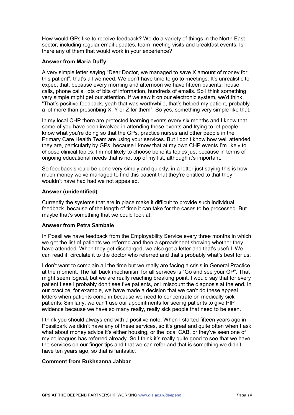How would GPs like to receive feedback? We do a variety of things in the North East sector, including regular email updates, team meeting visits and breakfast events. Is there any of them that would work in your experience?

#### **Answer from Maria Duffy**

A very simple letter saying "Dear Doctor, we managed to save X amount of money for this patient", that's all we need. We don't have time to go to meetings. It's unrealistic to expect that, because every morning and afternoon we have fifteen patients, house calls, phone calls, lots of bits of information, hundreds of emails. So I think something very simple might get our attention. If we saw it on our electronic system, we'd think "That's positive feedback, yeah that was worthwhile, that's helped my patient, probably a lot more than prescribing X, Y or Z for them". So yes, something very simple like that.

In my local CHP there are protected learning events every six months and I know that some of you have been involved in attending these events and trying to let people know what you're doing so that the GPs, practice nurses and other people in the Primary Care Health Team are using your services. But I don't know how well attended they are, particularly by GPs, because I know that at my own CHP events I'm likely to choose clinical topics. I'm not likely to choose benefits topics just because in terms of ongoing educational needs that is not top of my list, although it's important.

So feedback should be done very simply and quickly, in a letter just saying this is how much money we've managed to find this patient that they're entitled to that they wouldn't have had had we not appealed.

#### **Answer (unidentified)**

Currently the systems that are in place make it difficult to provide such individual feedback, because of the length of time it can take for the cases to be processed. But maybe that's something that we could look at.

#### **Answer from Petra Sambale**

In Possil we have feedback from the Employability Service every three months in which we get the list of patients we referred and then a spreadsheet showing whether they have attended. When they get discharged, we also get a letter and that's useful. We can read it, circulate it to the doctor who referred and that's probably what's best for us.

I don't want to complain all the time but we really are facing a crisis in General Practice at the moment. The fall back mechanism for all services is "Go and see your GP". That might seem logical, but we are really reaching breaking point. I would say that for every patient I see I probably don't see five patients, or I miscount the diagnosis at the end. In our practice, for example, we have made a decision that we can't do these appeal letters when patients come in because we need to concentrate on medically sick patients. Similarly, we can't use our appointments for seeing patients to give PIP evidence because we have so many really, really sick people that need to be seen.

I think you should always end with a positive note. When I started fifteen years ago in Possilpark we didn't have any of these services, so it's great and quite often when I ask what about money advice it's either housing, or the local CAB, or they've seen one of my colleagues has referred already. So I think it's really quite good to see that we have the services on our finger tips and that we can refer and that is something we didn't have ten years ago, so that is fantastic.

#### **Comment from Rukhsanna Jabbar**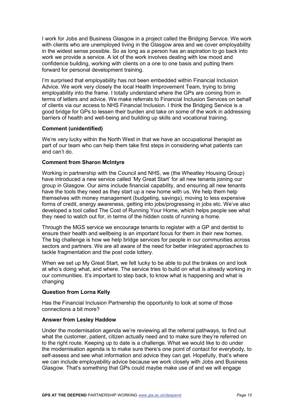I work for Jobs and Business Glasgow in a project called the Bridging Service. We work with clients who are unemployed living in the Glasgow area and we cover employability in the widest sense possible. So as long as a person has an aspiration to go back into work we provide a service. A lot of the work involves dealing with low mood and confidence building, working with clients on a one to one basis and putting them forward for personal development training.

I'm surprised that employability has not been embedded within Financial Inclusion Advice. We work very closely the local Health Improvement Team, trying to bring employability into the frame. I totally understand where the GPs are coming from in terms of letters and advice. We make referrals to Financial Inclusion Services on behalf of clients via our access to NHS Financial Inclusion. I think the Bridging Service is a good bridge for GPs to lessen their burden and take on some of the work in addressing barriers of health and well-being and building up skills and vocational training.

#### **Comment (unidentified)**

We're very lucky within the North West in that we have an occupational therapist as part of our team who can help them take first steps in considering what patients can and can't do.

#### **Comment from Sharon McIntyre**

Working in partnership with the Council and NHS, we (the Wheatley Housing Group) have introduced a new service called 'My Great Start' for all new tenants joining our group in Glasgow. Our aims include financial capability, and ensuring all new tenants have the tools they need as they start up a new home with us. We help them help themselves with money management (budgeting, savings), moving to less expensive forms of credit, energy awareness, getting into jobs/progressing in jobs etc. We've also developed a tool called The Cost of Running Your Home, which helps people see what they need to watch out for, in terms of the hidden costs of running a home.

Through the MGS service we encourage tenants to register with a GP and dentist to ensure their health and wellbeing is an important focus for them in their new homes. The big challenge is how we help bridge services for people in our communities across sectors and partners. We are all aware of the need for better integrated approaches to tackle fragmentation and the post code lottery.

When we set up My Great Start, we felt lucky to be able to put the brakes on and look at who's doing what, and where. The service tries to build on what is already working in our communities. It's important to step back, to know what is happening and what is changing

#### **Question from Lorna Kelly**

Has the Financial Inclusion Partnership the opportunity to look at some of those connections a bit more?

#### **Answer from Lesley Haddow**

Under the modernisation agenda we're reviewing all the referral pathways, to find out what the customer, patient, citizen actually need and to make sure they're referred on to the right route. Keeping up to date is a challenge. What we would like to do under the modernisation agenda is to make sure there's one point of contact for everybody, to self-assess and see what information and advice they can get. Hopefully, that's where we can include employability advice because we work closely with Jobs and Business Glasgow. That's something that GPs could maybe make use of and we will engage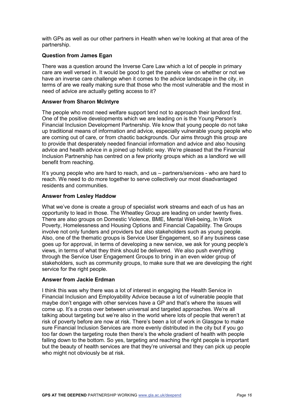with GPs as well as our other partners in Health when we're looking at that area of the partnership.

#### **Question from James Egan**

There was a question around the Inverse Care Law which a lot of people in primary care are well versed in. It would be good to get the panels view on whether or not we have an inverse care challenge when it comes to the advice landscape in the city, in terms of are we really making sure that those who the most vulnerable and the most in need of advice are actually getting access to it?

#### **Answer from Sharon McIntyre**

The people who most need welfare support tend not to approach their landlord first. One of the positive developments which we are leading on is the Young Person's Financial Inclusion Development Partnership. We know that young people do not take up traditional means of information and advice, especially vulnerable young people who are coming out of care, or from chaotic backgrounds. Our aims through this group are to provide that desperately needed financial information and advice and also housing advice and health advice in a joined up holistic way. We're pleased that the Financial Inclusion Partnership has centred on a few priority groups which as a landlord we will benefit from reaching.

It's young people who are hard to reach, and us – partners/services - who are hard to reach. We need to do more together to serve collectively our most disadvantaged residents and communities.

#### **Answer from Lesley Haddow**

What we've done is create a group of specialist work streams and each of us has an opportunity to lead in those. The Wheatley Group are leading on under twenty fives. There are also groups on Domestic Violence, BME, Mental Well-being, In Work Poverty, Homelessness and Housing Options and Financial Capability. The Groups involve not only funders and providers but also stakeholders such as young people. Also, one of the thematic groups is Service User Engagement, so if any business case goes up for approval, in terms of developing a new service, we ask for young people's views, in terms of what they think should be delivered. We also push everything through the Service User Engagement Groups to bring in an even wider group of stakeholders, such as community groups, to make sure that we are developing the right service for the right people.

#### **Answer from Jackie Erdman**

I think this was why there was a lot of interest in engaging the Health Service in Financial Inclusion and Employability Advice because a lot of vulnerable people that maybe don't engage with other services have a GP and that's where the issues will come up. It's a cross over between universal and targeted approaches. We're all talking about targeting but we're also in the world where lots of people that weren't at risk of poverty before are now at risk. There's been a lot of work in Glasgow to make sure Financial Inclusion Services are more evenly distributed in the city but if you go too far down the targeting route then there's the whole gradient of health with people falling down to the bottom. So yes, targeting and reaching the right people is important but the beauty of health services are that they're universal and they can pick up people who might not obviously be at risk.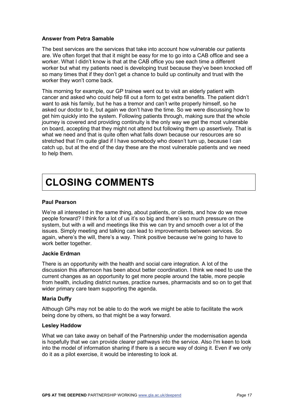#### **Answer from Petra Samable**

The best services are the services that take into account how vulnerable our patients are. We often forget that that it might be easy for me to go into a CAB office and see a worker. What I didn't know is that at the CAB office you see each time a different worker but what my patients need is developing trust because they've been knocked off so many times that if they don't get a chance to build up continuity and trust with the worker they won't come back.

This morning for example, our GP trainee went out to visit an elderly patient with cancer and asked who could help fill out a form to get extra benefits. The patient didn't want to ask his family, but he has a tremor and can't write properly himself, so he asked our doctor to it, but again we don't have the time. So we were discussing how to get him quickly into the system. Following patients through, making sure that the whole journey is covered and providing continuity is the only way we get the most vulnerable on board, accepting that they might not attend but following them up assertively. That is what we need and that is quite often what falls down because our resources are so stretched that I'm quite glad if I have somebody who doesn't turn up, because I can catch up, but at the end of the day these are the most vulnerable patients and we need to help them.

# <span id="page-20-0"></span>**CLOSING COMMENTS**

#### **Paul Pearson**

We're all interested in the same thing, about patients, or clients, and how do we move people forward? I think for a lot of us it's so big and there's so much pressure on the system, but with a will and meetings like this we can try and smooth over a lot of the issues. Simply meeting and talking can lead to improvements between services. So again, where's the will, there's a way. Think positive because we're going to have to work better together.

#### **Jackie Erdman**

There is an opportunity with the health and social care integration. A lot of the discussion this afternoon has been about better coordination. I think we need to use the current changes as an opportunity to get more people around the table, more people from health, including district nurses, practice nurses, pharmacists and so on to get that wider primary care team supporting the agenda.

#### **Maria Duffy**

Although GPs may not be able to do the work we might be able to facilitate the work being done by others, so that might be a way forward.

#### **Lesley Haddow**

What we can take away on behalf of the Partnership under the modernisation agenda is hopefully that we can provide clearer pathways into the service. Also I'm keen to look into the model of information sharing if there is a secure way of doing it. Even if we only do it as a pilot exercise, it would be interesting to look at.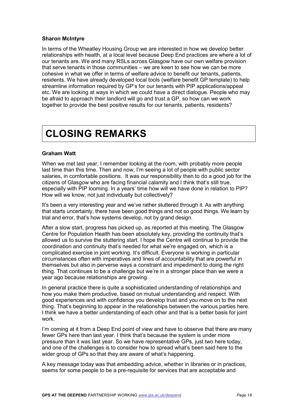#### **Sharon McIntyre**

In terms of the Wheatley Housing Group we are interested in how we develop better relationships with health, at a local level because Deep End practices are where a lot of our tenants are. We and many RSLs across Glasgow have our own welfare provision that serve tenants in those communities – we are keen to see how we can be more cohesive in what we offer in terms of welfare advice to benefit our tenants, patients, residents. We have already developed local tools (welfare benefit GP template) to help streamline information required by GP's for our tenants with PIP applications/appeal etc. We are looking at ways in which we could have a direct dialogue. People who may be afraid to approach their landlord will go and trust a GP, so how can we work together to provide the best positive results for our tenants, patients, residents?

## <span id="page-21-0"></span>**CLOSING REMARKS**

#### **Graham Watt**

When we met last year, I remember looking at the room, with probably more people last time than this time. Then and now, I'm seeing a lot of people with public sector salaries, in comfortable positions. It was our responsibility then to do a good job for the citizens of Glasgow who are facing financial calamity and I think that's still true, especially with PIP looming. In a years' time how will we have done in relation to PIP? How will we know, not just individually but collectively?

It's been a very interesting year and we've rather stuttered through it. As with anything that starts uncertainly, there have been good things and not so good things. We learn by trial and error, that's how systems develop, not by grand design.

After a slow start, progress has picked up, as reported at this meeting. The Glasgow Centre for Population Health has been absolutely key, providing the continuity that's allowed us to survive the stuttering start. I hope the Centre will continue to provide the coordination and continuity that's needed for what we're engaged on, which is a complicated exercise in joint working. It's difficult. Everyone is working in particular circumstances often with imperatives and lines of accountability that are powerful in themselves but also in perverse ways a constraint and impediment to doing the right thing. That continues to be a challenge but we're in a stronger place than we were a year ago because relationships are growing.

In general practice there is quite a sophisticated understanding of relationships and how you make them productive, based on mutual understanding and respect. With good experiences and with confidence you develop trust and you move on to the next thing. That's beginning to appear in the relationships between the various parties here. I think we have a better understanding of each other and that is a better basis for joint work.

I'm coming at it from a Deep End point of view and have to observe that there are many fewer GPs here than last year. I think that's because the system is under more pressure than it was last year. So we have representative GPs, just two here today, and one of the challenges is to consider how to spread what's been said here to the wider group of GPs so that they are aware of what's happening.

A key message today was that embedding advice, whether in libraries or in practices, seems for some people to be a pre-requisite for services that are acceptable and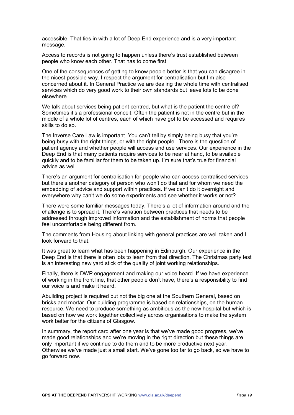accessible. That ties in with a lot of Deep End experience and is a very important message.

Access to records is not going to happen unless there's trust established between people who know each other. That has to come first.

One of the consequences of getting to know people better is that you can disagree in the nicest possible way. I respect the argument for centralisation but I'm also concerned about it. In General Practice we are dealing the whole time with centralised services which do very good work to their own standards but leave lots to be done elsewhere.

We talk about services being patient centred, but what is the patient the centre of? Sometimes it's a professional conceit. Often the patient is not in the centre but in the middle of a whole lot of centres, each of which have got to be accessed and requires skills to do so.

The Inverse Care Law is important. You can't tell by simply being busy that you're being busy with the right things, or with the right people. There is the question of patient agency and whether people will access and use services. Our experience in the Deep End is that many patients require services to be near at hand, to be available quickly and to be familiar for them to be taken up. I'm sure that's true for financial advice as well.

There's an argument for centralisation for people who can access centralised services but there's another category of person who won't do that and for whom we need the embedding of advice and support within practices. If we can't do it overnight and everywhere why can't we do some experiments and see whether it works or not?

There were some familiar messages today. There's a lot of information around and the challenge is to spread it. There's variation between practices that needs to be addressed through improved information and the establishment of norms that people feel uncomfortable being different from.

The comments from Housing about linking with general practices are well taken and I look forward to that.

It was great to learn what has been happening in Edinburgh. Our experience in the Deep End is that there is often lots to learn from that direction. The Christmas party test is an interesting new yard stick of the quality of joint working relationships.

Finally, there is DWP engagement and making our voice heard. If we have experience of working in the front line, that other people don't have, there's a responsibility to find our voice is and make it heard.

Abuilding project is required but not the big one at the Southern General, based on bricks and mortar. Our building programme is based on relationships, on the human resource. We need to produce something as ambitious as the new hospital but which is based on how we work together collectively across organisations to make the system work better for the citizens of Glasgow.

<span id="page-22-0"></span>In summary, the report card after one year is that we've made good progress, we've made good relationships and we're moving in the right direction but these things are only important if we continue to do them and to be more productive next year. Otherwise we've made just a small start. We've gone too far to go back, so we have to go forward now.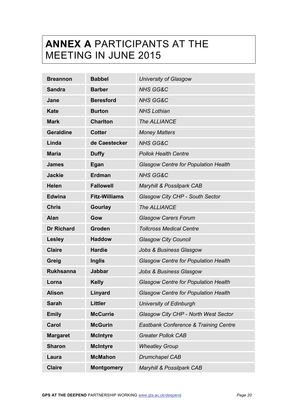# <span id="page-23-0"></span>**ANNEX A** PARTICIPANTS AT THE MEETING IN JUNE 2015

| <b>Breannon</b>   | <b>Babbel</b>        | <b>University of Glasgow</b>                     |
|-------------------|----------------------|--------------------------------------------------|
| <b>Sandra</b>     | <b>Barber</b>        | <b>NHS GG&amp;C</b>                              |
| Jane              | <b>Beresford</b>     | <b>NHS GG&amp;C</b>                              |
| <b>Kate</b>       | <b>Burton</b>        | <b>NHS Lothian</b>                               |
| <b>Mark</b>       | <b>Charlton</b>      | The ALLIANCE                                     |
| <b>Geraldine</b>  | <b>Cotter</b>        | <b>Money Matters</b>                             |
| Linda             | de Caestecker        | <b>NHS GG&amp;C</b>                              |
| <b>Maria</b>      | <b>Duffy</b>         | <b>Pollok Health Centre</b>                      |
| <b>James</b>      | Egan                 | <b>Glasgow Centre for Population Health</b>      |
| <b>Jackie</b>     | <b>Erdman</b>        | <b>NHS GG&amp;C</b>                              |
| <b>Helen</b>      | <b>Fallowell</b>     | Maryhill & Possilpark CAB                        |
| <b>Edwina</b>     | <b>Fitz-Williams</b> | Glasgow City CHP - South Sector                  |
| <b>Chris</b>      | <b>Gourlay</b>       | The ALLIANCE                                     |
| <b>Alan</b>       | Gow                  | <b>Glasgow Carers Forum</b>                      |
| <b>Dr Richard</b> | Groden               | <b>Tollcross Medical Centre</b>                  |
| <b>Lesley</b>     | <b>Haddow</b>        | <b>Glasgow City Council</b>                      |
| <b>Claire</b>     | <b>Hardie</b>        | <b>Jobs &amp; Business Glasgow</b>               |
| Greig             | <b>Inglis</b>        | <b>Glasgow Centre for Population Health</b>      |
| <b>Rukhsanna</b>  | <b>Jabbar</b>        | <b>Jobs &amp; Business Glasgow</b>               |
| Lorna             | <b>Kelly</b>         | <b>Glasgow Centre for Population Health</b>      |
| <b>Alison</b>     | Linyard              | <b>Glasgow Centre for Population Health</b>      |
| <b>Sarah</b>      | <b>Littler</b>       | <b>University of Edinburgh</b>                   |
| <b>Emily</b>      | <b>McCurrie</b>      | Glasgow City CHP - North West Sector             |
| Carol             | <b>McGurin</b>       | <b>Eastbank Conference &amp; Training Centre</b> |
| <b>Margaret</b>   | <b>McIntyre</b>      | <b>Greater Pollok CAB</b>                        |
| <b>Sharon</b>     | <b>McIntyre</b>      | <b>Wheatley Group</b>                            |
| Laura             | <b>McMahon</b>       | <b>Drumchapel CAB</b>                            |
| <b>Claire</b>     | <b>Montgomery</b>    | Maryhill & Possilpark CAB                        |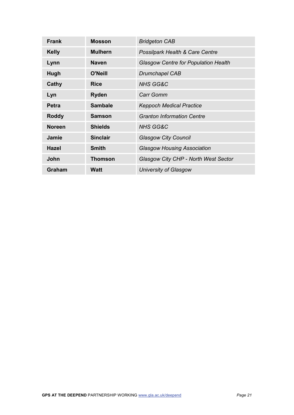| <b>Frank</b>  | <b>Mosson</b>   | <b>Bridgeton CAB</b>                        |
|---------------|-----------------|---------------------------------------------|
| <b>Kelly</b>  | <b>Mulhern</b>  | <b>Possilpark Health &amp; Care Centre</b>  |
| Lynn          | <b>Naven</b>    | <b>Glasgow Centre for Population Health</b> |
| Hugh          | <b>O'Neill</b>  | <b>Drumchapel CAB</b>                       |
| Cathy         | <b>Rice</b>     | <b>NHS GG&amp;C</b>                         |
| Lyn           | <b>Ryden</b>    | <b>Carr Gomm</b>                            |
| <b>Petra</b>  | <b>Sambale</b>  | <b>Keppoch Medical Practice</b>             |
| <b>Roddy</b>  | <b>Samson</b>   | <b>Granton Information Centre</b>           |
| <b>Noreen</b> | <b>Shields</b>  | <b>NHS GG&amp;C</b>                         |
| <b>Jamie</b>  | <b>Sinclair</b> | <b>Glasgow City Council</b>                 |
| <b>Hazel</b>  | <b>Smith</b>    | <b>Glasgow Housing Association</b>          |
| John          | <b>Thomson</b>  | Glasgow City CHP - North West Sector        |
| Graham        | <b>Watt</b>     | University of Glasgow                       |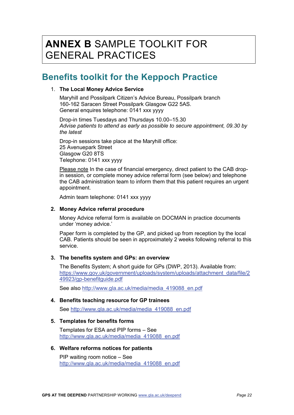### <span id="page-25-0"></span>**ANNEX B** SAMPLE TOOLKIT FOR GENERAL PRACTICES

### **Benefits toolkit for the Keppoch Practice**

#### 1. **The Local Money Advice Service**

Maryhill and Possilpark Citizen's Advice Bureau, Possilpark branch 160-162 Saracen Street Possilpark Glasgow G22 5AS. General enquires telephone: 0141 xxx yyyy

Drop-in times Tuesdays and Thursdays 10.00–15.30 *Advise patients to attend as early as possible to secure appointment, 09.30 by the latest*

Drop-in sessions take place at the Maryhill office: 25 Avenuepark Street Glasgow G20 8TS Telephone: 0141 xxx yyyy

Please note In the case of financial emergency, direct patient to the CAB dropin session, or complete money advice referral form (see below) and telephone the CAB administration team to inform them that this patient requires an urgent appointment.

Admin team telephone: 0141 xxx yyyy

#### **2. Money Advice referral procedure**

Money Advice referral form is available on DOCMAN in practice documents under 'money advice.'

Paper form is completed by the GP, and picked up from reception by the local CAB. Patients should be seen in approximately 2 weeks following referral to this service.

#### **3. The benefits system and GPs: an overview**

The Benefits System; A short guide for GPs (DWP, 2013). Available from: [https://www.gov.uk/government/uploads/system/uploads/attachment\\_data/file/2](https://www.gov.uk/government/uploads/system/uploads/attachment_data/file/249923/gp-benefitguide.pdf) [49923/gp-benefitguide.pdf](https://www.gov.uk/government/uploads/system/uploads/attachment_data/file/249923/gp-benefitguide.pdf)

See also [http://www.gla.ac.uk/media/media\\_419088\\_en.pdf](http://www.gla.ac.uk/media/media_419088_en.pdf)

#### **4. Benefits teaching resource for GP trainees**

See [http://www.gla.ac.uk/media/media\\_419088\\_en.pdf](http://www.gla.ac.uk/media/media_419088_en.pdf)

#### **5. Templates for benefits forms**

Templates for ESA and PIP forms – See [http://www.gla.ac.uk/media/media\\_419088\\_en.pdf](http://www.gla.ac.uk/media/media_419088_en.pdf)

#### **6. Welfare reforms notices for patients**

PIP waiting room notice – See [http://www.gla.ac.uk/media/media\\_419088\\_en.pdf](http://www.gla.ac.uk/media/media_419088_en.pdf)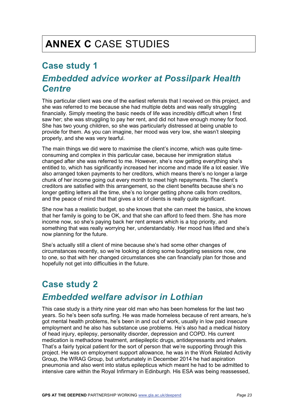### <span id="page-26-0"></span>**Case study 1**

### *Embedded advice worker at Possilpark Health Centre*

This particular client was one of the earliest referrals that I received on this project, and she was referred to me because she had multiple debts and was really struggling financially. Simply meeting the basic needs of life was incredibly difficult when I first saw her; she was struggling to pay her rent, and did not have enough money for food. She has two young children, so she was particularly distressed at being unable to provide for them. As you can imagine, her mood was very low, she wasn't sleeping properly, and she was very tearful.

The main things we did were to maximise the client's income, which was quite timeconsuming and complex in this particular case, because her immigration status changed after she was referred to me. However, she's now getting everything she's entitled to, which has significantly increased her income and made life a lot easier. We also arranged token payments to her creditors, which means there's no longer a large chunk of her income going out every month to meet high repayments. The client's creditors are satisfied with this arrangement, so the client benefits because she's no longer getting letters all the time, she's no longer getting phone calls from creditors, and the peace of mind that that gives a lot of clients is really quite significant.

She now has a realistic budget, so she knows that she can meet the basics, she knows that her family is going to be OK, and that she can afford to feed them. She has more income now, so she's paying back her rent arrears which is a top priority, and something that was really worrying her, understandably. Her mood has lifted and she's now planning for the future.

She's actually still a client of mine because she's had some other changes of circumstances recently, so we're looking at doing some budgeting sessions now, one to one, so that with her changed circumstances she can financially plan for those and hopefully not get into difficulties in the future.

### **Case study 2**

### *Embedded welfare advisor in Lothian*

This case study is a thirty nine year old man who has been homeless for the last two years. So he's been sofa surfing. He was made homeless because of rent arrears, he's got mental health problems, he's been in and out of work, usually in low paid insecure employment and he also has substance use problems. He's also had a medical history of head injury, epilepsy, personality disorder, depression and COPD. His current medication is methadone treatment, antiepileptic drugs, antidepressants and inhalers. That's a fairly typical patient for the sort of person that we're supporting through this project. He was on employment support allowance, he was in the Work Related Activity Group, the WRAG Group, but unfortunately in December 2014 he had aspiration pneumonia and also went into status epilepticus which meant he had to be admitted to intensive care within the Royal Infirmary in Edinburgh. His ESA was being reassessed,